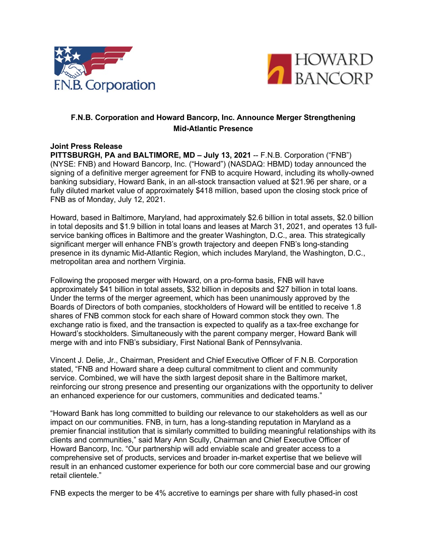



# **F.N.B. Corporation and Howard Bancorp, Inc. Announce Merger Strengthening Mid-Atlantic Presence**

### **Joint Press Release**

**PITTSBURGH, PA and BALTIMORE, MD – July 13, 2021** -- F.N.B. Corporation ("FNB") (NYSE: FNB) and Howard Bancorp, Inc. ("Howard") (NASDAQ: HBMD) today announced the signing of a definitive merger agreement for FNB to acquire Howard, including its wholly-owned banking subsidiary, Howard Bank, in an all-stock transaction valued at \$21.96 per share, or a fully diluted market value of approximately \$418 million, based upon the closing stock price of FNB as of Monday, July 12, 2021.

Howard, based in Baltimore, Maryland, had approximately \$2.6 billion in total assets, \$2.0 billion in total deposits and \$1.9 billion in total loans and leases at March 31, 2021, and operates 13 fullservice banking offices in Baltimore and the greater Washington, D.C., area. This strategically significant merger will enhance FNB's growth trajectory and deepen FNB's long-standing presence in its dynamic Mid-Atlantic Region, which includes Maryland, the Washington, D.C., metropolitan area and northern Virginia.

Following the proposed merger with Howard, on a pro-forma basis, FNB will have approximately \$41 billion in total assets, \$32 billion in deposits and \$27 billion in total loans. Under the terms of the merger agreement, which has been unanimously approved by the Boards of Directors of both companies, stockholders of Howard will be entitled to receive 1.8 shares of FNB common stock for each share of Howard common stock they own. The exchange ratio is fixed, and the transaction is expected to qualify as a tax-free exchange for Howard's stockholders. Simultaneously with the parent company merger, Howard Bank will merge with and into FNB's subsidiary, First National Bank of Pennsylvania.

Vincent J. Delie, Jr., Chairman, President and Chief Executive Officer of F.N.B. Corporation stated, "FNB and Howard share a deep cultural commitment to client and community service. Combined, we will have the sixth largest deposit share in the Baltimore market, reinforcing our strong presence and presenting our organizations with the opportunity to deliver an enhanced experience for our customers, communities and dedicated teams."

"Howard Bank has long committed to building our relevance to our stakeholders as well as our impact on our communities. FNB, in turn, has a long-standing reputation in Maryland as a premier financial institution that is similarly committed to building meaningful relationships with its clients and communities," said Mary Ann Scully, Chairman and Chief Executive Officer of Howard Bancorp, Inc. "Our partnership will add enviable scale and greater access to a comprehensive set of products, services and broader in-market expertise that we believe will result in an enhanced customer experience for both our core commercial base and our growing retail clientele."

FNB expects the merger to be 4% accretive to earnings per share with fully phased-in cost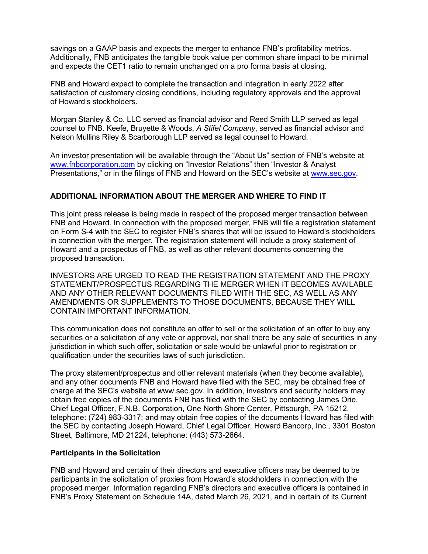savings on a GAAP basis and expects the merger to enhance FNB's profitability metrics. Additionally, FNB anticipates the tangible book value per common share impact to be minimal and expects the CET1 ratio to remain unchanged on a pro forma basis at closing.

FNB and Howard expect to complete the transaction and integration in early 2022 after satisfaction of customary closing conditions, including regulatory approvals and the approval of Howard's stockholders.

Morgan Stanley & Co. LLC served as financial advisor and Reed Smith LLP served as legal counsel to FNB. Keefe, Bruyette & Woods, *A Stifel Company*, served as financial advisor and Nelson Mullins Riley & Scarborough LLP served as legal counsel to Howard.

An investor presentation will be available through the "About Us" section of FNB's website at [www.fnbcorporation.com](http://www.fnbcorporation.com/) by clicking on "Investor Relations" then "Investor & Analyst Presentations," or in the filings of FNB and Howard on the SEC's website at www.sec.gov.

### **ADDITIONAL INFORMATION ABOUT THE MERGER AND WHERE TO FIND IT**

This joint press release is being made in respect of the proposed merger transaction between FNB and Howard. In connection with the proposed merger, FNB will file a registration statement on Form S-4 with the SEC to register FNB's shares that will be issued to Howard's stockholders in connection with the merger. The registration statement will include a proxy statement of Howard and a prospectus of FNB, as well as other relevant documents concerning the proposed transaction.

INVESTORS ARE URGED TO READ THE REGISTRATION STATEMENT AND THE PROXY STATEMENT/PROSPECTUS REGARDING THE MERGER WHEN IT BECOMES AVAILABLE AND ANY OTHER RELEVANT DOCUMENTS FILED WITH THE SEC, AS WELL AS ANY AMENDMENTS OR SUPPLEMENTS TO THOSE DOCUMENTS, BECAUSE THEY WILL CONTAIN IMPORTANT INFORMATION.

This communication does not constitute an offer to sell or the solicitation of an offer to buy any securities or a solicitation of any vote or approval, nor shall there be any sale of securities in any jurisdiction in which such offer, solicitation or sale would be unlawful prior to registration or qualification under the securities laws of such jurisdiction.

The proxy statement/prospectus and other relevant materials (when they become available), and any other documents FNB and Howard have filed with the SEC, may be obtained free of charge at the SEC's website at www.sec.gov. In addition, investors and security holders may obtain free copies of the documents FNB has filed with the SEC by contacting James Orie, Chief Legal Officer, F.N.B. Corporation, One North Shore Center, Pittsburgh, PA 15212, telephone: (724) 983-3317; and may obtain free copies of the documents Howard has filed with the SEC by contacting Joseph Howard, Chief Legal Officer, Howard Bancorp, Inc., 3301 Boston Street, Baltimore, MD 21224, telephone: (443) 573-2664.

### **Participants in the Solicitation**

FNB and Howard and certain of their directors and executive officers may be deemed to be participants in the solicitation of proxies from Howard's stockholders in connection with the proposed merger. Information regarding FNB's directors and executive officers is contained in FNB's Proxy Statement on Schedule 14A, dated March 26, 2021, and in certain of its Current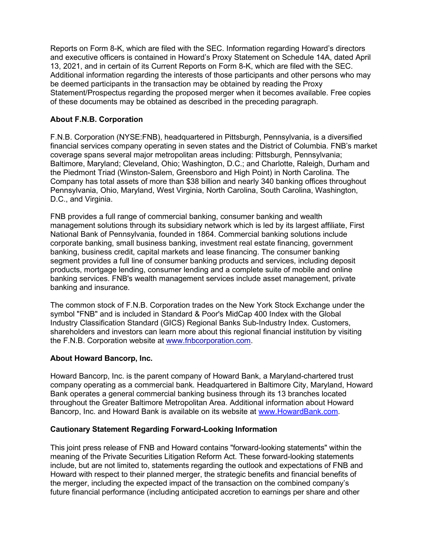Reports on Form 8-K, which are filed with the SEC. Information regarding Howard's directors and executive officers is contained in Howard's Proxy Statement on Schedule 14A, dated April 13, 2021, and in certain of its Current Reports on Form 8-K, which are filed with the SEC. Additional information regarding the interests of those participants and other persons who may be deemed participants in the transaction may be obtained by reading the Proxy Statement/Prospectus regarding the proposed merger when it becomes available. Free copies of these documents may be obtained as described in the preceding paragraph.

## **About F.N.B. Corporation**

F.N.B. Corporation (NYSE:FNB), headquartered in Pittsburgh, Pennsylvania, is a diversified financial services company operating in seven states and the District of Columbia. FNB's market coverage spans several major metropolitan areas including: Pittsburgh, Pennsylvania; Baltimore, Maryland; Cleveland, Ohio; Washington, D.C.; and Charlotte, Raleigh, Durham and the Piedmont Triad (Winston-Salem, Greensboro and High Point) in North Carolina. The Company has total assets of more than \$38 billion and nearly 340 banking offices throughout Pennsylvania, Ohio, Maryland, West Virginia, North Carolina, South Carolina, Washington, D.C., and Virginia.

FNB provides a full range of commercial banking, consumer banking and wealth management solutions through its subsidiary network which is led by its largest affiliate, First National Bank of Pennsylvania, founded in 1864. Commercial banking solutions include corporate banking, small business banking, investment real estate financing, government banking, business credit, capital markets and lease financing. The consumer banking segment provides a full line of consumer banking products and services, including deposit products, mortgage lending, consumer lending and a complete suite of mobile and online banking services. FNB's wealth management services include asset management, private banking and insurance.

The common stock of F.N.B. Corporation trades on the New York Stock Exchange under the symbol "FNB" and is included in Standard & Poor's MidCap 400 Index with the Global Industry Classification Standard (GICS) Regional Banks Sub-Industry Index. Customers, shareholders and investors can learn more about this regional financial institution by visiting the F.N.B. Corporation website at www.fnbcorporation.com.

### **About Howard Bancorp, Inc.**

Howard Bancorp, Inc. is the parent company of Howard Bank, a Maryland-chartered trust company operating as a commercial bank. Headquartered in Baltimore City, Maryland, Howard Bank operates a general commercial banking business through its 13 branches located throughout the Greater Baltimore Metropolitan Area. Additional information about Howard Bancorp, Inc. and Howard Bank is available on its website at [www.HowardBank.com.](http://www.howardbank.com/)

### **Cautionary Statement Regarding Forward-Looking Information**

This joint press release of FNB and Howard contains "forward-looking statements" within the meaning of the Private Securities Litigation Reform Act. These forward-looking statements include, but are not limited to, statements regarding the outlook and expectations of FNB and Howard with respect to their planned merger, the strategic benefits and financial benefits of the merger, including the expected impact of the transaction on the combined company's future financial performance (including anticipated accretion to earnings per share and other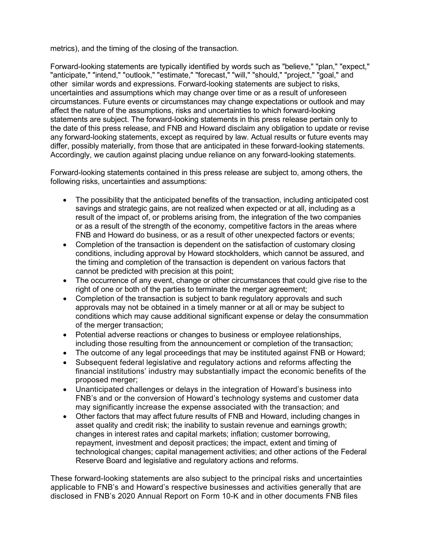metrics), and the timing of the closing of the transaction.

Forward-looking statements are typically identified by words such as "believe," "plan," "expect," "anticipate," "intend," "outlook," "estimate," "forecast," "will," "should," "project," "goal," and other similar words and expressions. Forward-looking statements are subject to risks, uncertainties and assumptions which may change over time or as a result of unforeseen circumstances. Future events or circumstances may change expectations or outlook and may affect the nature of the assumptions, risks and uncertainties to which forward-looking statements are subject. The forward-looking statements in this press release pertain only to the date of this press release, and FNB and Howard disclaim any obligation to update or revise any forward-looking statements, except as required by law. Actual results or future events may differ, possibly materially, from those that are anticipated in these forward-looking statements. Accordingly, we caution against placing undue reliance on any forward-looking statements.

Forward-looking statements contained in this press release are subject to, among others, the following risks, uncertainties and assumptions:

- The possibility that the anticipated benefits of the transaction, including anticipated cost savings and strategic gains, are not realized when expected or at all, including as a result of the impact of, or problems arising from, the integration of the two companies or as a result of the strength of the economy, competitive factors in the areas where FNB and Howard do business, or as a result of other unexpected factors or events;
- Completion of the transaction is dependent on the satisfaction of customary closing conditions, including approval by Howard stockholders, which cannot be assured, and the timing and completion of the transaction is dependent on various factors that cannot be predicted with precision at this point;
- The occurrence of any event, change or other circumstances that could give rise to the right of one or both of the parties to terminate the merger agreement;
- Completion of the transaction is subject to bank regulatory approvals and such approvals may not be obtained in a timely manner or at all or may be subject to conditions which may cause additional significant expense or delay the consummation of the merger transaction;
- Potential adverse reactions or changes to business or employee relationships, including those resulting from the announcement or completion of the transaction;
- The outcome of any legal proceedings that may be instituted against FNB or Howard;
- Subsequent federal legislative and regulatory actions and reforms affecting the financial institutions' industry may substantially impact the economic benefits of the proposed merger;
- Unanticipated challenges or delays in the integration of Howard's business into FNB's and or the conversion of Howard's technology systems and customer data may significantly increase the expense associated with the transaction; and
- Other factors that may affect future results of FNB and Howard, including changes in asset quality and credit risk; the inability to sustain revenue and earnings growth; changes in interest rates and capital markets; inflation; customer borrowing, repayment, investment and deposit practices; the impact, extent and timing of technological changes; capital management activities; and other actions of the Federal Reserve Board and legislative and regulatory actions and reforms.

These forward-looking statements are also subject to the principal risks and uncertainties applicable to FNB's and Howard's respective businesses and activities generally that are disclosed in FNB's 2020 Annual Report on Form 10-K and in other documents FNB files